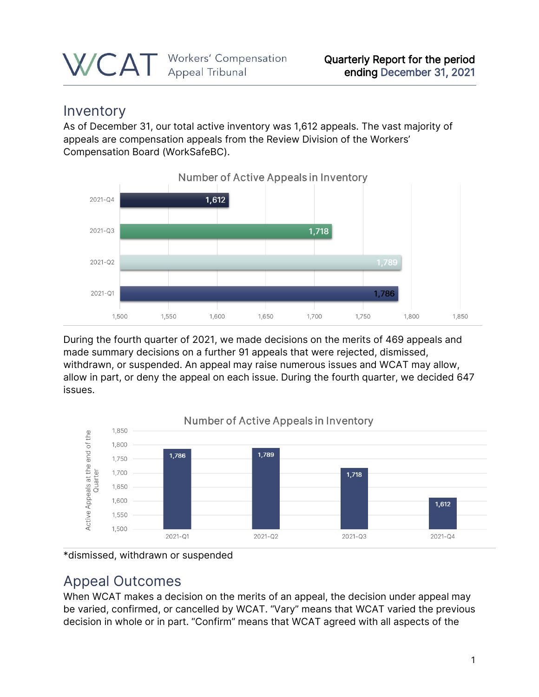### Inventory

As of December 31, our total active inventory was 1,612 appeals. The vast majority of appeals are compensation appeals from the Review Division of the Workers' Compensation Board (WorkSafeBC).



During the fourth quarter of 2021, we made decisions on the merits of 469 appeals and made summary decisions on a further 91 appeals that were rejected, dismissed, withdrawn, or suspended. An appeal may raise numerous issues and WCAT may allow, allow in part, or deny the appeal on each issue. During the fourth quarter, we decided 647 issues.



\*dismissed, withdrawn or suspended

### Appeal Outcomes

When WCAT makes a decision on the merits of an appeal, the decision under appeal may be varied, confirmed, or cancelled by WCAT. "Vary" means that WCAT varied the previous decision in whole or in part. "Confirm" means that WCAT agreed with all aspects of the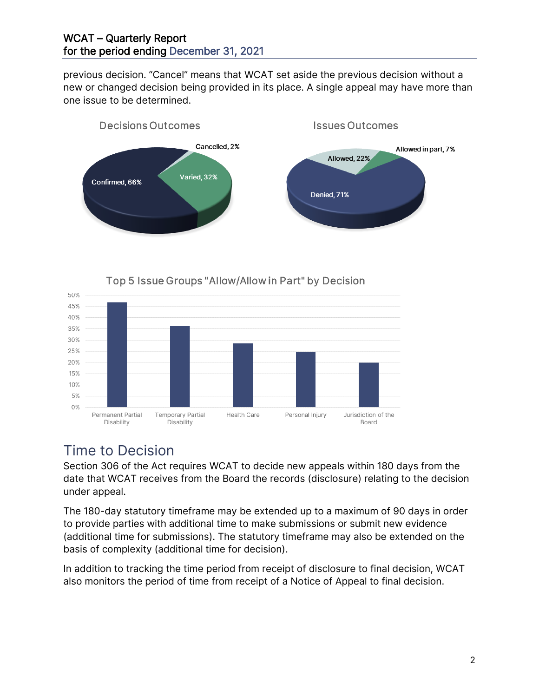#### WCAT – Quarterly Report for the period ending December 31, 2021

previous decision. "Cancel" means that WCAT set aside the previous decision without a new or changed decision being provided in its place. A single appeal may have more than one issue to be determined.



# Top 5 Issue Groups "Allow/Allow in Part" by Decision



### Time to Decision

50%

Section 306 of the Act requires WCAT to decide new appeals within 180 days from the date that WCAT receives from the Board the records (disclosure) relating to the decision under appeal.

The 180-day statutory timeframe may be extended up to a maximum of 90 days in order to provide parties with additional time to make submissions or submit new evidence (additional time for submissions). The statutory timeframe may also be extended on the basis of complexity (additional time for decision).

In addition to tracking the time period from receipt of disclosure to final decision, WCAT also monitors the period of time from receipt of a Notice of Appeal to final decision.